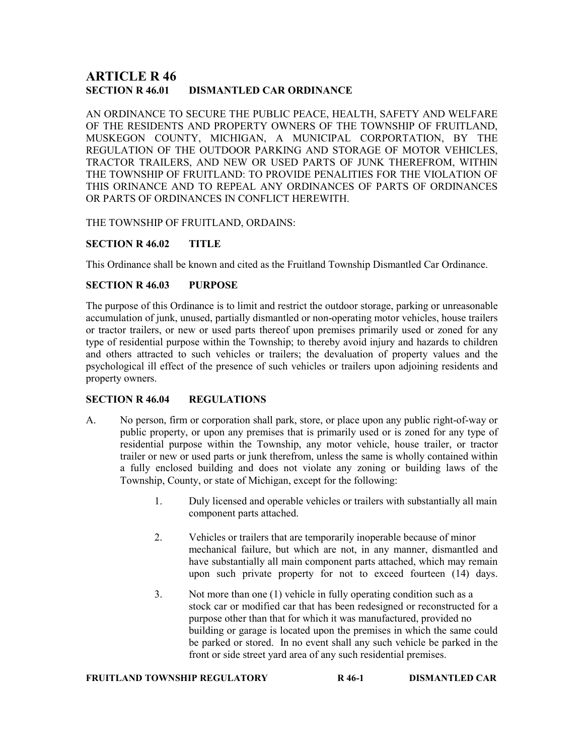# ARTICLE R 46 SECTION R 46.01 DISMANTLED CAR ORDINANCE

AN ORDINANCE TO SECURE THE PUBLIC PEACE, HEALTH, SAFETY AND WELFARE OF THE RESIDENTS AND PROPERTY OWNERS OF THE TOWNSHIP OF FRUITLAND, MUSKEGON COUNTY, MICHIGAN, A MUNICIPAL CORPORTATION, BY THE REGULATION OF THE OUTDOOR PARKING AND STORAGE OF MOTOR VEHICLES, TRACTOR TRAILERS, AND NEW OR USED PARTS OF JUNK THEREFROM, WITHIN THE TOWNSHIP OF FRUITLAND: TO PROVIDE PENALITIES FOR THE VIOLATION OF THIS ORINANCE AND TO REPEAL ANY ORDINANCES OF PARTS OF ORDINANCES OR PARTS OF ORDINANCES IN CONFLICT HEREWITH.

THE TOWNSHIP OF FRUITLAND, ORDAINS:

# SECTION R 46.02 TITLE

This Ordinance shall be known and cited as the Fruitland Township Dismantled Car Ordinance.

## SECTION R 46.03 PURPOSE

The purpose of this Ordinance is to limit and restrict the outdoor storage, parking or unreasonable accumulation of junk, unused, partially dismantled or non-operating motor vehicles, house trailers or tractor trailers, or new or used parts thereof upon premises primarily used or zoned for any type of residential purpose within the Township; to thereby avoid injury and hazards to children and others attracted to such vehicles or trailers; the devaluation of property values and the psychological ill effect of the presence of such vehicles or trailers upon adjoining residents and property owners.

# SECTION R 46.04 REGULATIONS

- A. No person, firm or corporation shall park, store, or place upon any public right-of-way or public property, or upon any premises that is primarily used or is zoned for any type of residential purpose within the Township, any motor vehicle, house trailer, or tractor trailer or new or used parts or junk therefrom, unless the same is wholly contained within a fully enclosed building and does not violate any zoning or building laws of the Township, County, or state of Michigan, except for the following:
	- 1. Duly licensed and operable vehicles or trailers with substantially all main component parts attached.
	- 2. Vehicles or trailers that are temporarily inoperable because of minor mechanical failure, but which are not, in any manner, dismantled and have substantially all main component parts attached, which may remain upon such private property for not to exceed fourteen (14) days.
	- 3. Not more than one (1) vehicle in fully operating condition such as a stock car or modified car that has been redesigned or reconstructed for a purpose other than that for which it was manufactured, provided no building or garage is located upon the premises in which the same could be parked or stored. In no event shall any such vehicle be parked in the front or side street yard area of any such residential premises.

## FRUITLAND TOWNSHIP REGULATORY R 46-1 DISMANTLED CAR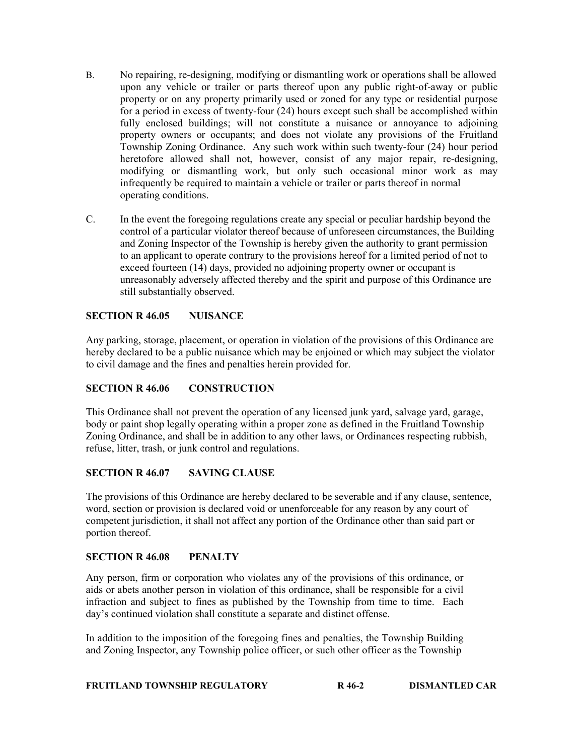- B. No repairing, re-designing, modifying or dismantling work or operations shall be allowed upon any vehicle or trailer or parts thereof upon any public right-of-away or public property or on any property primarily used or zoned for any type or residential purpose for a period in excess of twenty-four (24) hours except such shall be accomplished within fully enclosed buildings; will not constitute a nuisance or annoyance to adjoining property owners or occupants; and does not violate any provisions of the Fruitland Township Zoning Ordinance. Any such work within such twenty-four (24) hour period heretofore allowed shall not, however, consist of any major repair, re-designing, modifying or dismantling work, but only such occasional minor work as may infrequently be required to maintain a vehicle or trailer or parts thereof in normal operating conditions.
- C. In the event the foregoing regulations create any special or peculiar hardship beyond the control of a particular violator thereof because of unforeseen circumstances, the Building and Zoning Inspector of the Township is hereby given the authority to grant permission to an applicant to operate contrary to the provisions hereof for a limited period of not to exceed fourteen (14) days, provided no adjoining property owner or occupant is unreasonably adversely affected thereby and the spirit and purpose of this Ordinance are still substantially observed.

## SECTION R 46.05 NUISANCE

Any parking, storage, placement, or operation in violation of the provisions of this Ordinance are hereby declared to be a public nuisance which may be enjoined or which may subject the violator to civil damage and the fines and penalties herein provided for.

# SECTION R 46.06 CONSTRUCTION

This Ordinance shall not prevent the operation of any licensed junk yard, salvage yard, garage, body or paint shop legally operating within a proper zone as defined in the Fruitland Township Zoning Ordinance, and shall be in addition to any other laws, or Ordinances respecting rubbish, refuse, litter, trash, or junk control and regulations.

#### SECTION R 46.07 SAVING CLAUSE

The provisions of this Ordinance are hereby declared to be severable and if any clause, sentence, word, section or provision is declared void or unenforceable for any reason by any court of competent jurisdiction, it shall not affect any portion of the Ordinance other than said part or portion thereof.

#### SECTION R 46.08 PENALTY

Any person, firm or corporation who violates any of the provisions of this ordinance, or aids or abets another person in violation of this ordinance, shall be responsible for a civil infraction and subject to fines as published by the Township from time to time. Each day's continued violation shall constitute a separate and distinct offense.

In addition to the imposition of the foregoing fines and penalties, the Township Building and Zoning Inspector, any Township police officer, or such other officer as the Township

FRUITLAND TOWNSHIP REGULATORY R 46-2 DISMANTLED CAR